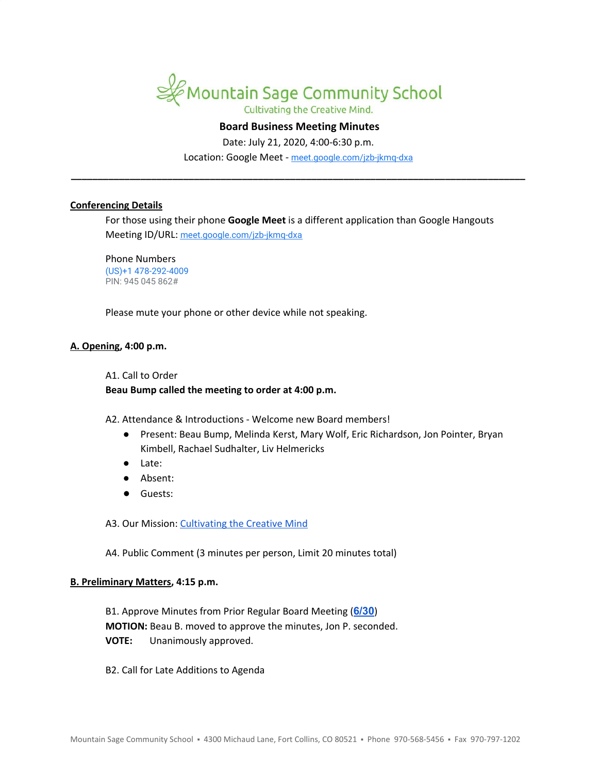

# **Board Business Meeting Minutes**

Date: July 21, 2020, 4:00-6:30 p.m.

Location: Google Meet - [meet.google.com/jzb-jkmq-dxa](https://meet.google.com/jzb-jkmq-dxa?hs=122&authuser=1) **\_\_\_\_\_\_\_\_\_\_\_\_\_\_\_\_\_\_\_\_\_\_\_\_\_\_\_\_\_\_\_\_\_\_\_\_\_\_\_\_\_\_\_\_\_\_\_\_\_\_\_\_\_\_\_\_\_\_\_\_\_\_\_\_\_\_\_\_\_\_\_\_\_\_\_\_\_\_\_\_\_\_\_\_\_**

#### **Conferencing Details**

For those using their phone **Google Meet** is a different application than Google Hangouts Meeting ID/URL: [meet.google.com/jzb-jkmq-dxa](https://meet.google.com/jzb-jkmq-dxa?hs=122&authuser=1)

Phone Numbers (US)+1 478-292-4009 PIN: 945 045 862#

Please mute your phone or other device while not speaking.

# **A. Opening, 4:00 p.m.**

A1. Call to Order

## **Beau Bump called the meeting to order at 4:00 p.m.**

A2. Attendance & Introductions - Welcome new Board members!

- Present: Beau Bump, Melinda Kerst, Mary Wolf, Eric Richardson, Jon Pointer, Bryan Kimbell, Rachael Sudhalter, Liv Helmericks
- Late:
- Absent:
- Guests:

A3. Our Mission: [Cultivating](http://www.mountainsage.org/mission-and-vision.html) the Creative Mind

A4. Public Comment (3 minutes per person, Limit 20 minutes total)

# **B. Preliminary Matters, 4:15 p.m.**

B1. Approve Minutes from Prior Regular Board Meeting (**[6/30](https://docs.google.com/document/d/11szQGzrDmZokDxWeJRuoKuN1tMO5mXkzslitx3Q_LrU/edit?usp=sharing)**) **MOTION:** Beau B. moved to approve the minutes, Jon P. seconded. **VOTE:** Unanimously approved.

B2. Call for Late Additions to Agenda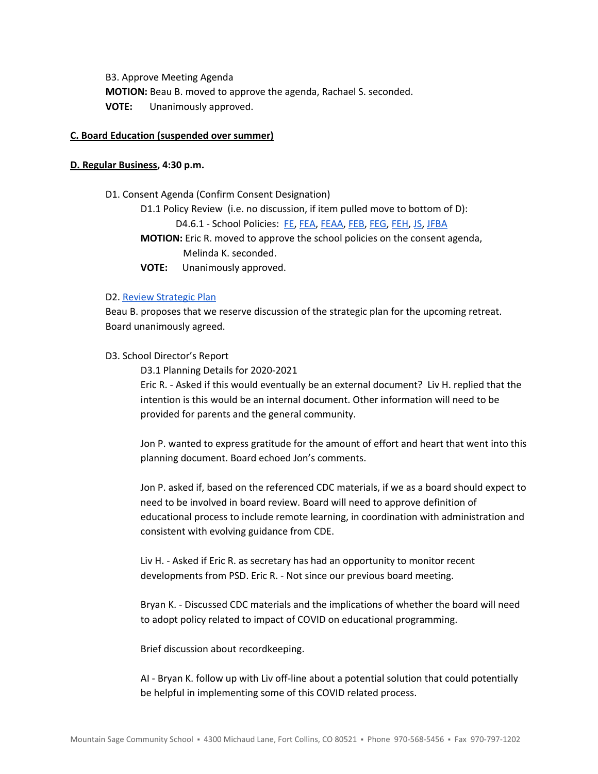B3. Approve Meeting Agenda **MOTION:** Beau B. moved to approve the agenda, Rachael S. seconded. **VOTE:** Unanimously approved.

# **C. Board Education (suspended over summer)**

# **D. Regular Business, 4:30 p.m.**

D1. Consent Agenda (Confirm Consent Designation)

D1.1 Policy Review (i.e. no discussion, if item pulled move to bottom of D): D4.6.1 - School Policies: [FE,](https://docs.google.com/document/d/1wGxFasZ0dE6Ne5s7KRrIRO0cnZKQPnwQxOd-v52eaoo) [FEA](https://docs.google.com/document/d/1BWQWCyUn1LxwknXypc69WFyVxJ1piXju4kMvW-dwy1A), [FEAA,](https://docs.google.com/document/d/1uRyiir_G8BUEF5x6Hub_WrxYBs9m88mlTIw3E-vyM6A) [FEB,](https://docs.google.com/document/d/1pThbHJkD6v6ceYmAsNUip-Nmx194ynGWcwVEx4LVGH0) [FEG,](https://docs.google.com/document/d/16KsAgFybbQ34_MHxjsQUp8QXMuhMP0Hq1VwV2zTTDIc) [FEH](https://docs.google.com/document/d/1z-DZJGivIvEx3R5OBiI3HKAe2djMkUwX92mxzw0ManE), [JS](https://docs.google.com/document/d/1rf5GBWs-YOgZhMLOzJxPMH3JRSSvb52K1Sytz0KNBiU), [JFBA](https://docs.google.com/document/d/1m83NJgTOFSnZcpq29US3wrK9G-vkSo7I16H8EIPojG0)

**MOTION:** Eric R. moved to approve the school policies on the consent agenda, Melinda K. seconded.

**VOTE:** Unanimously approved.

# D2. Review [Strategic](https://drive.google.com/file/d/1bIEAL8S8NnDx9PPJRR79h1dLsXFMCh-t/view?usp=sharing) Plan

Beau B. proposes that we reserve discussion of the strategic plan for the upcoming retreat. Board unanimously agreed.

# D3. School Director's Report

D3.1 Planning Details for 2020-2021

Eric R. - Asked if this would eventually be an external document? Liv H. replied that the intention is this would be an internal document. Other information will need to be provided for parents and the general community.

Jon P. wanted to express gratitude for the amount of effort and heart that went into this planning document. Board echoed Jon's comments.

Jon P. asked if, based on the referenced CDC materials, if we as a board should expect to need to be involved in board review. Board will need to approve definition of educational process to include remote learning, in coordination with administration and consistent with evolving guidance from CDE.

Liv H. - Asked if Eric R. as secretary has had an opportunity to monitor recent developments from PSD. Eric R. - Not since our previous board meeting.

Bryan K. - Discussed CDC materials and the implications of whether the board will need to adopt policy related to impact of COVID on educational programming.

Brief discussion about recordkeeping.

AI - Bryan K. follow up with Liv off-line about a potential solution that could potentially be helpful in implementing some of this COVID related process.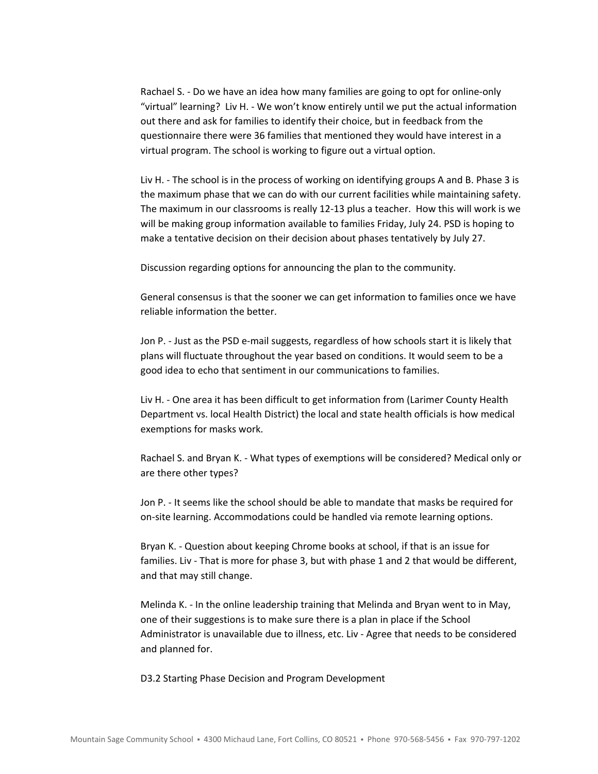Rachael S. - Do we have an idea how many families are going to opt for online-only "virtual" learning? Liv H. - We won't know entirely until we put the actual information out there and ask for families to identify their choice, but in feedback from the questionnaire there were 36 families that mentioned they would have interest in a virtual program. The school is working to figure out a virtual option.

Liv H. - The school is in the process of working on identifying groups A and B. Phase 3 is the maximum phase that we can do with our current facilities while maintaining safety. The maximum in our classrooms is really 12-13 plus a teacher. How this will work is we will be making group information available to families Friday, July 24. PSD is hoping to make a tentative decision on their decision about phases tentatively by July 27.

Discussion regarding options for announcing the plan to the community.

General consensus is that the sooner we can get information to families once we have reliable information the better.

Jon P. - Just as the PSD e-mail suggests, regardless of how schools start it is likely that plans will fluctuate throughout the year based on conditions. It would seem to be a good idea to echo that sentiment in our communications to families.

Liv H. - One area it has been difficult to get information from (Larimer County Health Department vs. local Health District) the local and state health officials is how medical exemptions for masks work.

Rachael S. and Bryan K. - What types of exemptions will be considered? Medical only or are there other types?

Jon P. - It seems like the school should be able to mandate that masks be required for on-site learning. Accommodations could be handled via remote learning options.

Bryan K. - Question about keeping Chrome books at school, if that is an issue for families. Liv - That is more for phase 3, but with phase 1 and 2 that would be different, and that may still change.

Melinda K. - In the online leadership training that Melinda and Bryan went to in May, one of their suggestions is to make sure there is a plan in place if the School Administrator is unavailable due to illness, etc. Liv - Agree that needs to be considered and planned for.

D3.2 Starting Phase Decision and Program Development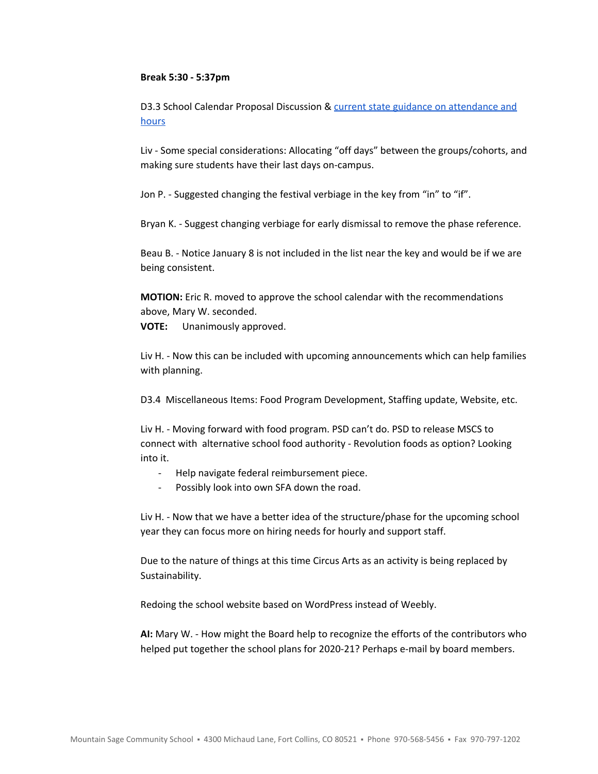#### **Break 5:30 - 5:37pm**

D3.3 School Calendar Proposal Discussion & current state guidance on [attendance](http://www.cde.state.co.us/cdefinance/cde_policy_on_instructional_hours_and_attendance) and [hours](http://www.cde.state.co.us/cdefinance/cde_policy_on_instructional_hours_and_attendance)

Liv - Some special considerations: Allocating "off days" between the groups/cohorts, and making sure students have their last days on-campus.

Jon P. - Suggested changing the festival verbiage in the key from "in" to "if".

Bryan K. - Suggest changing verbiage for early dismissal to remove the phase reference.

Beau B. - Notice January 8 is not included in the list near the key and would be if we are being consistent.

**MOTION:** Eric R. moved to approve the school calendar with the recommendations above, Mary W. seconded. **VOTE:** Unanimously approved.

Liv H. - Now this can be included with upcoming announcements which can help families with planning.

D3.4 Miscellaneous Items: Food Program Development, Staffing update, Website, etc.

Liv H. - Moving forward with food program. PSD can't do. PSD to release MSCS to connect with alternative school food authority - Revolution foods as option? Looking into it.

- Help navigate federal reimbursement piece.
- Possibly look into own SFA down the road.

Liv H. - Now that we have a better idea of the structure/phase for the upcoming school year they can focus more on hiring needs for hourly and support staff.

Due to the nature of things at this time Circus Arts as an activity is being replaced by Sustainability.

Redoing the school website based on WordPress instead of Weebly.

**AI:** Mary W. - How might the Board help to recognize the efforts of the contributors who helped put together the school plans for 2020-21? Perhaps e-mail by board members.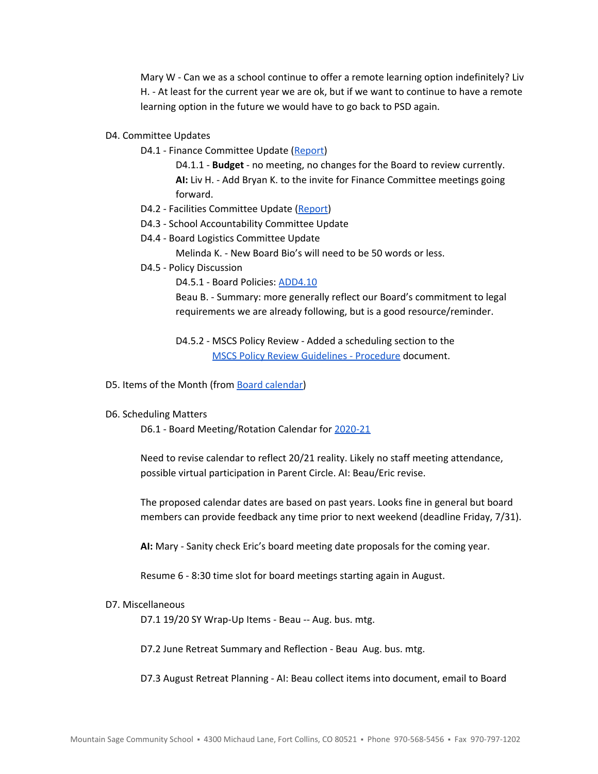Mary W - Can we as a school continue to offer a remote learning option indefinitely? Liv H. - At least for the current year we are ok, but if we want to continue to have a remote learning option in the future we would have to go back to PSD again.

#### D4. Committee Updates

D4.1 - Finance Committee Update ([Report\)](https://drive.google.com/open?id=1N3Rc1-g3ZteePdSVX-o2UJIPhUP5MR0hpzPq9b44wgQ)

D4.1.1 - **Budget** - no meeting, no changes for the Board to review currently. **AI:** Liv H. - Add Bryan K. to the invite for Finance Committee meetings going forward.

- D4.2 Facilities Committee Update [\(Report\)](https://drive.google.com/open?id=1axcqR-ZcgSZC0hZ4VievPUKQibsAHLlqMBkfjF75EVY)
- D4.3 School Accountability Committee Update
- D4.4 Board Logistics Committee Update

Melinda K. - New Board Bio's will need to be 50 words or less.

D4.5 - Policy Discussion

D4.5.1 - Board Policies: [ADD4.10](https://docs.google.com/document/d/1V3xXA9nFS1VysNA0KFmEQ4u6WqqhQFkELG6kWdBkEkM)

Beau B. - Summary: more generally reflect our Board's commitment to legal requirements we are already following, but is a good resource/reminder.

D4.5.2 - MSCS Policy Review - Added a scheduling section to the MSCS Policy Review [Guidelines](https://docs.google.com/document/d/1u8ShOV3kEX192OtZtSJ3ZH9IY_M6MqVyaK5HLtCC2dI) - Procedure document.

D5. Items of the Month (from Board [calendar](https://docs.google.com/document/d/12S6s-qevYMsnj8Cr2yw6uMO7S7hL3gz2oKvXZk5ZndQ/edit?usp=sharing))

#### D6. Scheduling Matters

D6.1 - Board Meeting/Rotation Calendar for [2020-21](https://docs.google.com/spreadsheets/d/1x9GJcaarIY6EhtnDI669QrMgj4yTl2tANo463C7EGAQ)

Need to revise calendar to reflect 20/21 reality. Likely no staff meeting attendance, possible virtual participation in Parent Circle. AI: Beau/Eric revise.

The proposed calendar dates are based on past years. Looks fine in general but board members can provide feedback any time prior to next weekend (deadline Friday, 7/31).

**AI:** Mary - Sanity check Eric's board meeting date proposals for the coming year.

Resume 6 - 8:30 time slot for board meetings starting again in August.

### D7. Miscellaneous

D7.1 19/20 SY Wrap-Up Items - Beau -- Aug. bus. mtg.

D7.2 June Retreat Summary and Reflection - Beau Aug. bus. mtg.

D7.3 August Retreat Planning - AI: Beau collect items into document, email to Board